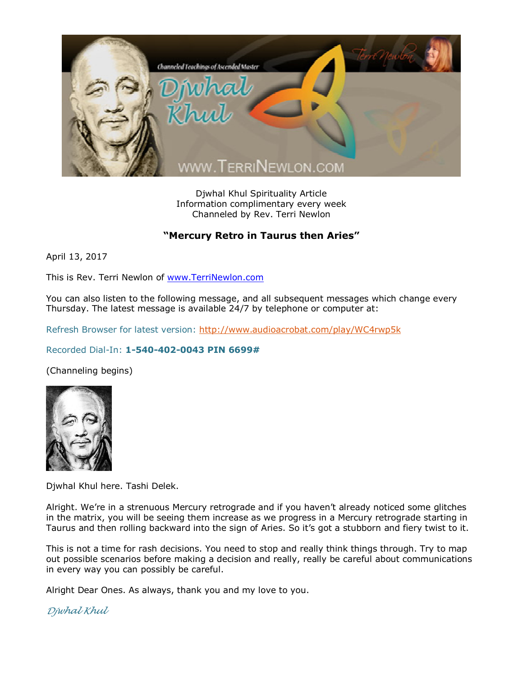

Djwhal Khul Spirituality Article Information complimentary every week Channeled by Rev. Terri Newlon

## **"Mercury Retro in Taurus then Aries"**

April 13, 2017

This is Rev. Terri Newlon of [www.TerriNewlon.com](http://www.terrinewlon.com/)

You can also listen to the following message, and all subsequent messages which change every Thursday. The latest message is available 24/7 by telephone or computer at:

Refresh Browser for latest version: <http://www.audioacrobat.com/play/WC4rwp5k>

## Recorded Dial-In: **1-540-402-0043 PIN 6699#**

(Channeling begins)



Djwhal Khul here. Tashi Delek.

Alright. We're in a strenuous Mercury retrograde and if you haven't already noticed some glitches in the matrix, you will be seeing them increase as we progress in a Mercury retrograde starting in Taurus and then rolling backward into the sign of Aries. So it's got a stubborn and fiery twist to it.

This is not a time for rash decisions. You need to stop and really think things through. Try to map out possible scenarios before making a decision and really, really be careful about communications in every way you can possibly be careful.

Alright Dear Ones. As always, thank you and my love to you.

*Djwhal Khul*